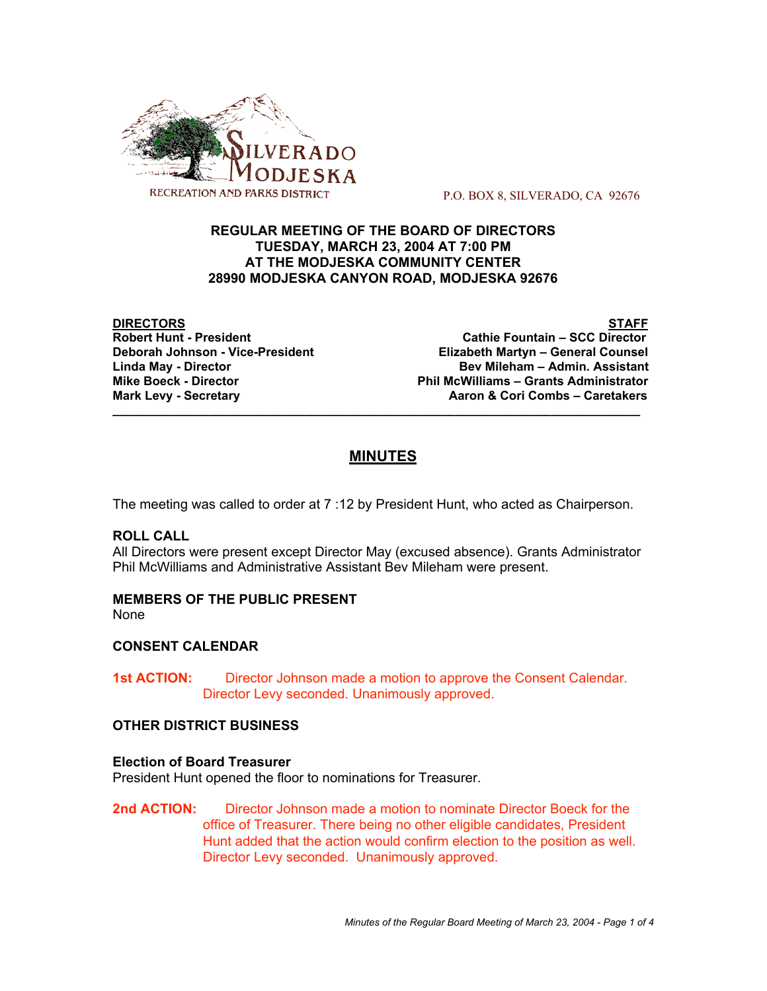

P.O. BOX 8, SILVERADO, CA 92676

## **REGULAR MEETING OF THE BOARD OF DIRECTORS TUESDAY, MARCH 23, 2004 AT 7:00 PM AT THE MODJESKA COMMUNITY CENTER 28990 MODJESKA CANYON ROAD, MODJESKA 92676**

**DIRECTORS STAFF Cathie Fountain – SCC Director Deborah Johnson - Vice-President Elizabeth Martyn – General Counsel** Linda May - Director **Bev Mileham – Admin. Assistant Mike Boeck - Director Phil McWilliams – Grants Administrator** Aaron & Cori Combs - Caretakers

# **MINUTES**

**\_\_\_\_\_\_\_\_\_\_\_\_\_\_\_\_\_\_\_\_\_\_\_\_\_\_\_\_\_\_\_\_\_\_\_\_\_\_\_\_\_\_\_\_\_\_\_\_\_\_\_\_\_\_\_\_\_\_\_\_\_\_\_\_\_\_\_\_\_\_\_\_\_\_\_\_\_**

The meeting was called to order at 7 :12 by President Hunt, who acted as Chairperson.

## **ROLL CALL**

All Directors were present except Director May (excused absence). Grants Administrator Phil McWilliams and Administrative Assistant Bev Mileham were present.

#### **MEMBERS OF THE PUBLIC PRESENT** None

## **CONSENT CALENDAR**

**1st ACTION:** Director Johnson made a motion to approve the Consent Calendar. Director Levy seconded. Unanimously approved.

## **OTHER DISTRICT BUSINESS**

## **Election of Board Treasurer**

President Hunt opened the floor to nominations for Treasurer.

**2nd ACTION:** Director Johnson made a motion to nominate Director Boeck for the office of Treasurer. There being no other eligible candidates, President Hunt added that the action would confirm election to the position as well. Director Levy seconded. Unanimously approved.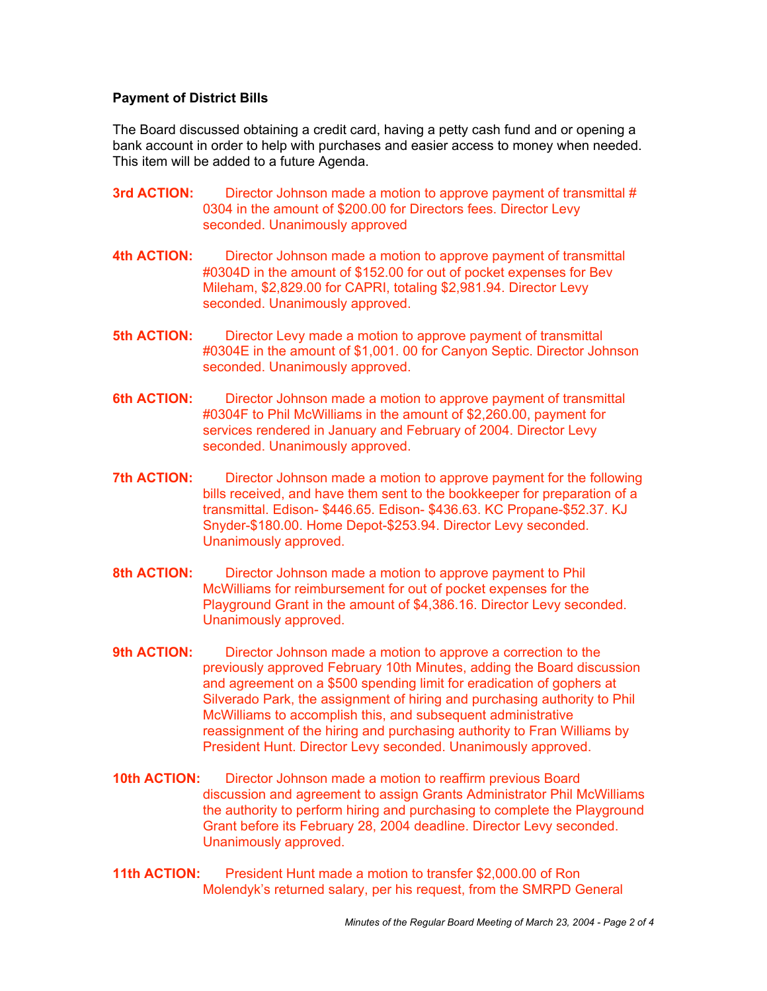## **Payment of District Bills**

The Board discussed obtaining a credit card, having a petty cash fund and or opening a bank account in order to help with purchases and easier access to money when needed. This item will be added to a future Agenda.

- **3rd ACTION:** Director Johnson made a motion to approve payment of transmittal # 0304 in the amount of \$200.00 for Directors fees. Director Levy seconded. Unanimously approved
- **4th ACTION:** Director Johnson made a motion to approve payment of transmittal #0304D in the amount of \$152.00 for out of pocket expenses for Bev Mileham, \$2,829.00 for CAPRI, totaling \$2,981.94. Director Levy seconded. Unanimously approved.
- **5th ACTION:** Director Levy made a motion to approve payment of transmittal #0304E in the amount of \$1,001. 00 for Canyon Septic. Director Johnson seconded. Unanimously approved.
- **6th ACTION:** Director Johnson made a motion to approve payment of transmittal #0304F to Phil McWilliams in the amount of \$2,260.00, payment for services rendered in January and February of 2004. Director Levy seconded. Unanimously approved.
- **7th ACTION:** Director Johnson made a motion to approve payment for the following bills received, and have them sent to the bookkeeper for preparation of a transmittal. Edison- \$446.65. Edison- \$436.63. KC Propane-\$52.37. KJ Snyder-\$180.00. Home Depot-\$253.94. Director Levy seconded. Unanimously approved.
- **8th ACTION:** Director Johnson made a motion to approve payment to Phil McWilliams for reimbursement for out of pocket expenses for the Playground Grant in the amount of \$4,386.16. Director Levy seconded. Unanimously approved.
- **9th ACTION:** Director Johnson made a motion to approve a correction to the previously approved February 10th Minutes, adding the Board discussion and agreement on a \$500 spending limit for eradication of gophers at Silverado Park, the assignment of hiring and purchasing authority to Phil McWilliams to accomplish this, and subsequent administrative reassignment of the hiring and purchasing authority to Fran Williams by President Hunt. Director Levy seconded. Unanimously approved.
- **10th ACTION:** Director Johnson made a motion to reaffirm previous Board discussion and agreement to assign Grants Administrator Phil McWilliams the authority to perform hiring and purchasing to complete the Playground Grant before its February 28, 2004 deadline. Director Levy seconded. Unanimously approved.
- **11th ACTION:** President Hunt made a motion to transfer \$2,000.00 of Ron Molendyk's returned salary, per his request, from the SMRPD General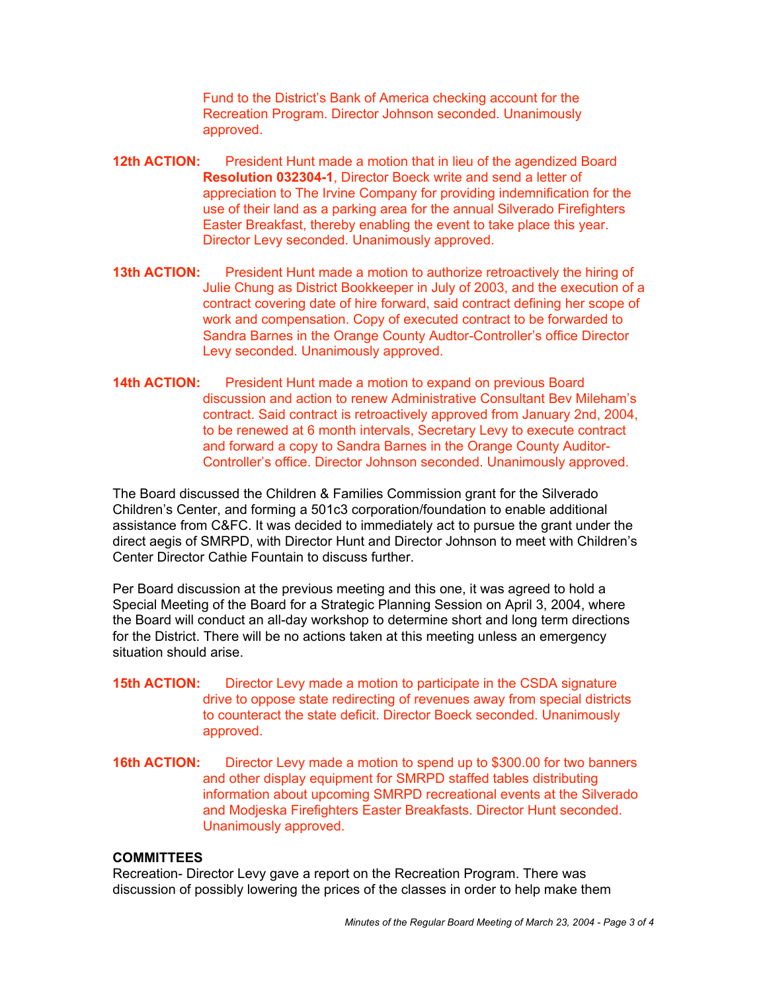Fund to the District's Bank of America checking account for the Recreation Program. Director Johnson seconded. Unanimously approved.

- **12th ACTION:** President Hunt made a motion that in lieu of the agendized Board **Resolution 032304-1**, Director Boeck write and send a letter of appreciation to The Irvine Company for providing indemnification for the use of their land as a parking area for the annual Silverado Firefighters Easter Breakfast, thereby enabling the event to take place this year. Director Levy seconded. Unanimously approved.
- **13th ACTION:** President Hunt made a motion to authorize retroactively the hiring of Julie Chung as District Bookkeeper in July of 2003, and the execution of a contract covering date of hire forward, said contract defining her scope of work and compensation. Copy of executed contract to be forwarded to Sandra Barnes in the Orange County Audtor-Controller's office Director Levy seconded. Unanimously approved.
- **14th ACTION:** President Hunt made a motion to expand on previous Board discussion and action to renew Administrative Consultant Bev Mileham's contract. Said contract is retroactively approved from January 2nd, 2004, to be renewed at 6 month intervals, Secretary Levy to execute contract and forward a copy to Sandra Barnes in the Orange County Auditor-Controller's office. Director Johnson seconded. Unanimously approved.

The Board discussed the Children & Families Commission grant for the Silverado Children's Center, and forming a 501c3 corporation/foundation to enable additional assistance from C&FC. It was decided to immediately act to pursue the grant under the direct aegis of SMRPD, with Director Hunt and Director Johnson to meet with Children's Center Director Cathie Fountain to discuss further.

Per Board discussion at the previous meeting and this one, it was agreed to hold a Special Meeting of the Board for a Strategic Planning Session on April 3, 2004, where the Board will conduct an all-day workshop to determine short and long term directions for the District. There will be no actions taken at this meeting unless an emergency situation should arise.

- **15th ACTION:** Director Levy made a motion to participate in the CSDA signature drive to oppose state redirecting of revenues away from special districts to counteract the state deficit. Director Boeck seconded. Unanimously approved.
- **16th ACTION:** Director Levy made a motion to spend up to \$300.00 for two banners and other display equipment for SMRPD staffed tables distributing information about upcoming SMRPD recreational events at the Silverado and Modjeska Firefighters Easter Breakfasts. Director Hunt seconded. Unanimously approved.

## **COMMITTEES**

Recreation- Director Levy gave a report on the Recreation Program. There was discussion of possibly lowering the prices of the classes in order to help make them